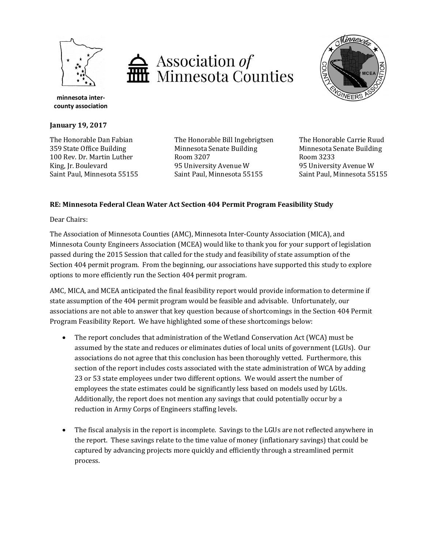





**minnesota intercounty association**

**January 19, 2017**

The Honorable Dan Fabian 359 State Office Building 100 Rev. Dr. Martin Luther King, Jr. Boulevard Saint Paul, Minnesota 55155

The Honorable Bill Ingebrigtsen Minnesota Senate Building Room 3207 95 University Avenue W Saint Paul, Minnesota 55155

The Honorable Carrie Ruud Minnesota Senate Building Room 3233 95 University Avenue W Saint Paul, Minnesota 55155

## **RE: Minnesota Federal Clean Water Act Section 404 Permit Program Feasibility Study**

Dear Chairs:

The Association of Minnesota Counties (AMC), Minnesota Inter-County Association (MICA), and Minnesota County Engineers Association (MCEA) would like to thank you for your support of legislation passed during the 2015 Session that called for the study and feasibility of state assumption of the Section 404 permit program. From the beginning, our associations have supported this study to explore options to more efficiently run the Section 404 permit program.

AMC, MICA, and MCEA anticipated the final feasibility report would provide information to determine if state assumption of the 404 permit program would be feasible and advisable. Unfortunately, our associations are not able to answer that key question because of shortcomings in the Section 404 Permit Program Feasibility Report. We have highlighted some of these shortcomings below:

- The report concludes that administration of the Wetland Conservation Act (WCA) must be assumed by the state and reduces or eliminates duties of local units of government (LGUs). Our associations do not agree that this conclusion has been thoroughly vetted. Furthermore, this section of the report includes costs associated with the state administration of WCA by adding 23 or 53 state employees under two different options. We would assert the number of employees the state estimates could be significantly less based on models used by LGUs. Additionally, the report does not mention any savings that could potentially occur by a reduction in Army Corps of Engineers staffing levels.
- The fiscal analysis in the report is incomplete. Savings to the LGUs are not reflected anywhere in the report. These savings relate to the time value of money (inflationary savings) that could be captured by advancing projects more quickly and efficiently through a streamlined permit process.